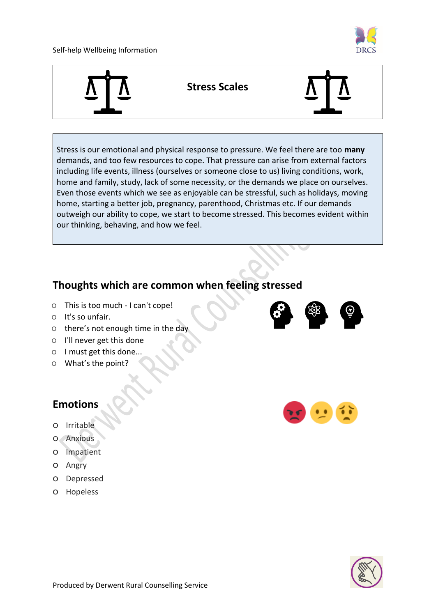#### Self-help Wellbeing Information





Stress is our emotional and physical response to pressure. We feel there are too **many** demands, and too few resources to cope. That pressure can arise from external factors including life events, illness (ourselves or someone close to us) living conditions, work, home and family, study, lack of some necessity, or the demands we place on ourselves. Even those events which we see as enjoyable can be stressful, such as holidays, moving home, starting a better job, pregnancy, parenthood, Christmas etc. If our demands outweigh our ability to cope, we start to become stressed. This becomes evident within our thinking, behaving, and how we feel.

#### **Thoughts which are common when feeling stressed**

- o This is too much I can't cope!
- o It's so unfair.
- o there's not enough time in the day
- o I'll never get this done
- o I must get this done...
- o What's the point?

#### **Emotions**

- o Irritable
- o Anxious
- o Impatient
- o Angry
- o Depressed
- o Hopeless





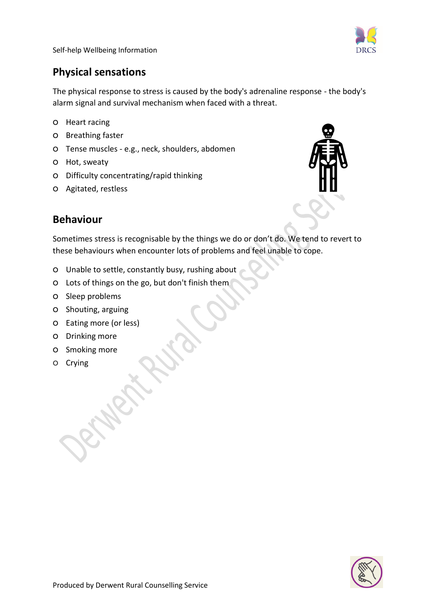

Self-help Wellbeing Information

### **Physical sensations**

The physical response to stress is caused by the body's adrenaline response - the body's alarm signal and survival mechanism when faced with a threat.

- o Heart racing
- o Breathing faster
- o Tense muscles e.g., neck, shoulders, abdomen
- o Hot, sweaty
- o Difficulty concentrating/rapid thinking
- o Agitated, restless



#### **Behaviour**

Sometimes stress is recognisable by the things we do or don't do. We tend to revert to these behaviours when encounter lots of problems and feel unable to cope.

- o Unable to settle, constantly busy, rushing about
- o Lots of things on the go, but don't finish them
- o Sleep problems
- o Shouting, arguing
- o Eating more (or less)
- o Drinking more
- o Smoking more
- o Crying

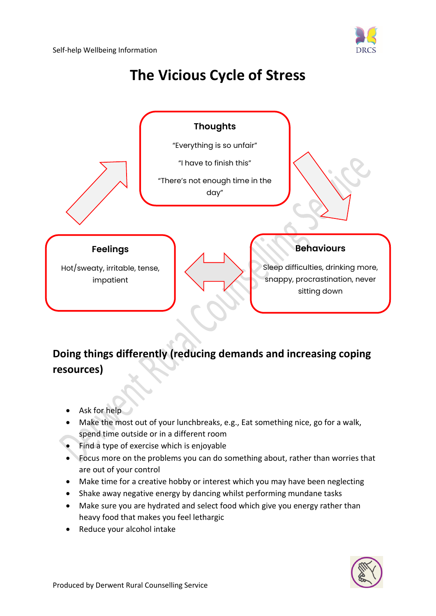

# **The Vicious Cycle of Stress**



## **Doing things differently (reducing demands and increasing coping resources)**

- Ask for help
- Make the most out of your lunchbreaks, e.g., Eat something nice, go for a walk, spend time outside or in a different room
- Find a type of exercise which is enjoyable
- Focus more on the problems you can do something about, rather than worries that are out of your control
- Make time for a creative hobby or interest which you may have been neglecting
- Shake away negative energy by dancing whilst performing mundane tasks
- Make sure you are hydrated and select food which give you energy rather than heavy food that makes you feel lethargic
- Reduce your alcohol intake